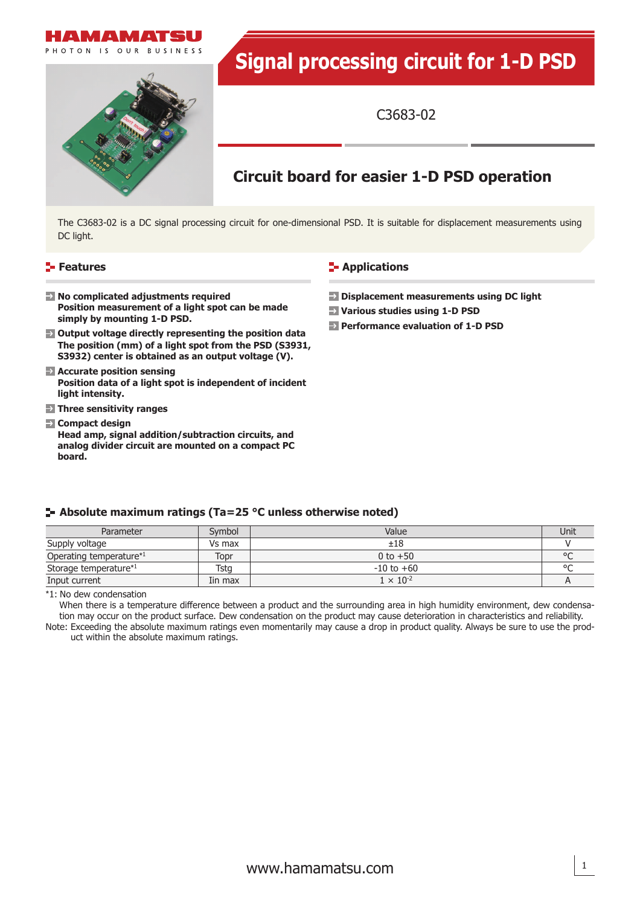

# **Signal processing circuit for 1-D PSD**

C3683-02

## **Circuit board for easier 1-D PSD operation**

The C3683-02 is a DC signal processing circuit for one-dimensional PSD. It is suitable for displacement measurements using DC light.

#### **Features**

#### **E-** Applications

- **Displacement measurements using DC light**
	- **Various studies using 1-D PSD**
	- **Performance evaluation of 1-D PSD**
- **No complicated adjustments required Position measurement of a light spot can be made simply by mounting 1-D PSD.**
- **Output voltage directly representing the position data The position (mm) of a light spot from the PSD (S3931, S3932) center is obtained as an output voltage (V).**
- **Accurate position sensing Position data of a light spot is independent of incident light intensity.**
- **Three sensitivity ranges**
- **Compact design Head amp, signal addition/subtraction circuits, and analog divider circuit are mounted on a compact PC board.**

#### **Absolute maximum ratings (Ta=25 °C unless otherwise noted)**

| Parameter               | Symbol  | Value              | Unit |
|-------------------------|---------|--------------------|------|
| Supply voltage          | Vs max  | ±18                |      |
| Operating temperature*1 | Topr    | 0 to $+50$         |      |
| Storage temperature*1   | Tsta    | $-10$ to $+60$     |      |
| Input current           | Iin max | $1 \times 10^{-2}$ |      |

\*1: No dew condensation

When there is a temperature difference between a product and the surrounding area in high humidity environment, dew condensation may occur on the product surface. Dew condensation on the product may cause deterioration in characteristics and reliability. Note: Exceeding the absolute maximum ratings even momentarily may cause a drop in product quality. Always be sure to use the prod-

uct within the absolute maximum ratings.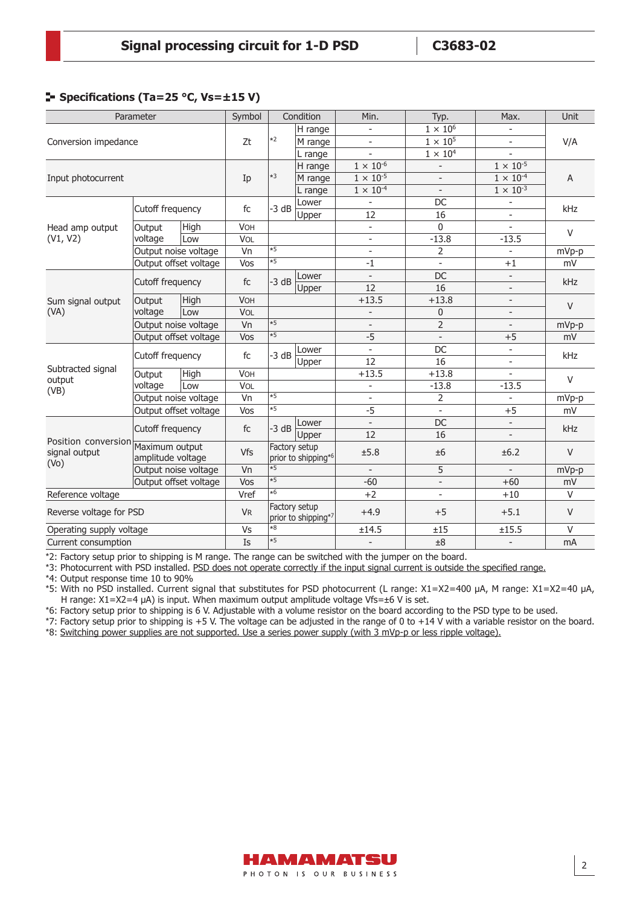#### **F** Specifications (Ta=25 °C, Vs= $\pm$ 15 V)

| Parameter                                                                |                      | Symbol                |                 | Condition           | Min.                | Typ.                     | Max.                     | <b>Unit</b>              |                |
|--------------------------------------------------------------------------|----------------------|-----------------------|-----------------|---------------------|---------------------|--------------------------|--------------------------|--------------------------|----------------|
|                                                                          |                      |                       |                 | H range             | $\blacksquare$      | $1 \times 10^6$          |                          | V/A                      |                |
| Conversion impedance                                                     |                      |                       | Zt              | *2                  | M range             | $\overline{\phantom{a}}$ | $1 \times 10^5$          |                          | $\blacksquare$ |
|                                                                          |                      | L range               |                 |                     |                     | $1 \times 10^4$          |                          |                          |                |
|                                                                          |                      |                       |                 |                     | H range             | $1 \times 10^{-6}$       |                          | $1 \times 10^{-5}$       | A              |
| Input photocurrent                                                       |                      |                       | Ip              | $*3$                | M range             | $1 \times 10^{-5}$       |                          | $1 \times 10^{-4}$       |                |
|                                                                          |                      |                       |                 |                     | L range             | $1 \times 10^{-4}$       |                          | $1 \times 10^{-3}$       |                |
|                                                                          | Cutoff frequency     |                       | fc              | $-3 dB$             | Lower               | $\overline{\phantom{m}}$ | DC                       | $\overline{\phantom{a}}$ | kHz            |
|                                                                          |                      |                       |                 |                     | Upper               | 12                       | 16                       | $\blacksquare$           |                |
| Head amp output                                                          | Output               | High                  | VOH             |                     |                     | $\blacksquare$           | $\mathbf{0}$             | $\sim$                   | V              |
| (V1, V2)                                                                 | voltage              | Low                   | VOL             |                     |                     | $\blacksquare$           | $-13.8$                  | $-13.5$                  |                |
|                                                                          |                      | Output noise voltage  | $\overline{vn}$ | $\overline{5}$      |                     | $\overline{\phantom{a}}$ | $\overline{2}$           | $\overline{\phantom{a}}$ | mVp-p          |
|                                                                          |                      | Output offset voltage | Vos             | $*5$                |                     | $-1$                     | $\blacksquare$           | $+1$                     | mV             |
|                                                                          | Cutoff frequency     |                       | fc              | $-3 dB$             | Lower               | $\overline{\phantom{a}}$ | DC                       | $\overline{\phantom{a}}$ | kHz            |
|                                                                          |                      |                       |                 |                     | Upper               | 12                       | 16                       | $\overline{\phantom{a}}$ |                |
| Sum signal output                                                        | Output<br>voltage    | High                  | <b>VOH</b>      |                     |                     | $+13.5$                  | $+13.8$                  | $\overline{\phantom{a}}$ | $\vee$         |
| (VA)                                                                     |                      | Low                   | VOL             |                     |                     | $\overline{a}$           | 0                        | $\overline{\phantom{a}}$ |                |
|                                                                          | Output noise voltage |                       | Vn              | $*5$                |                     | $\overline{\phantom{a}}$ | $\overline{2}$           | $\mathbf{r}$             | mVp-p          |
|                                                                          |                      | Output offset voltage | Vos             | $\overline{5}$      |                     | $-5$                     |                          | $+5$                     | mV             |
|                                                                          |                      |                       |                 |                     | Lower               | $\overline{\phantom{0}}$ | DC                       | $\overline{\phantom{a}}$ |                |
|                                                                          | Cutoff frequency     |                       | fc              | $-3 dB$             | Upper               | 12                       | 16                       | $\mathbf{r}$             | kHz            |
| Subtracted signal                                                        | Output<br>voltage    | High                  | VOH             |                     |                     | $+13.5$                  | $+13.8$                  |                          |                |
| output<br>(VB)                                                           |                      | Low                   | VOL             |                     |                     | $\overline{a}$           | $-13.8$                  | $-13.5$                  | $\vee$         |
|                                                                          | Output noise voltage |                       | Vn              | $*5$                |                     |                          | 2                        |                          | mVp-p          |
|                                                                          |                      | Output offset voltage | Vos             | $\overline{\ast 5}$ |                     | $-5$                     |                          | $+5$                     | mV             |
|                                                                          | Cutoff frequency     |                       |                 |                     | Lower               | $\blacksquare$           | DC                       | $\overline{\phantom{a}}$ |                |
| Position conversion Maximum output<br>signal output<br>(V <sub>O</sub> ) |                      |                       | fc              | $-3 dB$             | Upper               | 12                       | 16                       | $\overline{\phantom{a}}$ | kHz            |
|                                                                          | amplitude voltage    |                       | Vfs             | Factory setup       | prior to shipping*6 | ±5.8                     | ±6                       | ±6.2                     | $\vee$         |
|                                                                          |                      | Output noise voltage  | Vn              | $\overline{5}$      |                     | $\overline{\phantom{a}}$ | 5                        | $\blacksquare$           | mVp-p          |
|                                                                          |                      | Output offset voltage | Vos             | $*5$                |                     | $-60$                    | $\overline{\phantom{a}}$ | $+60$                    | mV             |
| Reference voltage                                                        |                      | Vref                  | *6              |                     | $+2$                | $\blacksquare$           | $+10$                    | $\vee$                   |                |
| Reverse voltage for PSD                                                  |                      | <b>VR</b>             | Factory setup   | prior to shipping*7 | $+4.9$              | $+5$                     | $+5.1$                   | $\vee$                   |                |
| Operating supply voltage                                                 |                      |                       | Vs              | $*8$                |                     | ±14.5                    | ±15                      | ±15.5                    | $\vee$         |
| Current consumption                                                      |                      |                       | Is              | $*5$                |                     | $\overline{a}$           | ±8                       | $\overline{\phantom{a}}$ | mA             |

\*2: Factory setup prior to shipping is M range. The range can be switched with the jumper on the board.

\*3: Photocurrent with PSD installed. PSD does not operate correctly if the input signal current is outside the specified range.

\*4: Output response time 10 to 90%

\*5: With no PSD installed. Current signal that substitutes for PSD photocurrent (L range: X1=X2=400 μA, M range: X1=X2=40 μA, H range: X1=X2=4 μA) is input. When maximum output amplitude voltage Vfs=±6 V is set.

\*6: Factory setup prior to shipping is 6 V. Adjustable with a volume resistor on the board according to the PSD type to be used.

\*7: Factory setup prior to shipping is +5 V. The voltage can be adjusted in the range of 0 to +14 V with a variable resistor on the board.

\*8: Switching power supplies are not supported. Use a series power supply (with 3 mVp-p or less ripple voltage).

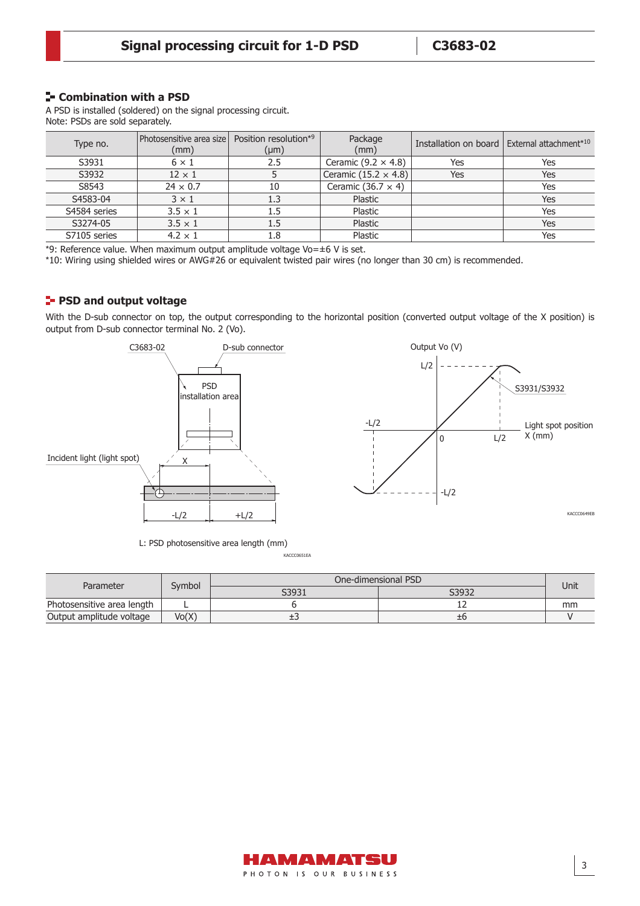#### **F** Combination with a PSD

A PSD is installed (soldered) on the signal processing circuit. Note: PSDs are sold separately.

| Type no.     | Photosensitive area size   Position resolution <sup>*9</sup><br>(mm) | $(\mu m)$ | Package<br>(mm)             | Installation on board | External attachment* <sup>10</sup> |
|--------------|----------------------------------------------------------------------|-----------|-----------------------------|-----------------------|------------------------------------|
| S3931        | $6 \times 1$                                                         | 2.5       | Ceramic (9.2 $\times$ 4.8)  | Yes                   | Yes                                |
| S3932        | $12 \times 1$                                                        |           | Ceramic $(15.2 \times 4.8)$ | Yes                   | Yes                                |
| S8543        | $24 \times 0.7$                                                      | 10        | Ceramic (36.7 $\times$ 4)   |                       | Yes                                |
| S4583-04     | $3 \times 1$                                                         | 1.3       | Plastic                     |                       | Yes                                |
| S4584 series | $3.5 \times 1$                                                       | $1.5\,$   | Plastic                     |                       | Yes                                |
| S3274-05     | $3.5 \times 1$                                                       | 1.5       | Plastic                     |                       | Yes                                |
| S7105 series | $4.2 \times 1$                                                       | 1.8       | Plastic                     |                       | Yes                                |

\*9: Reference value. When maximum output amplitude voltage Vo= $\pm$ 6 V is set.

\*10: Wiring using shielded wires or AWG#26 or equivalent twisted pair wires (no longer than 30 cm) is recommended.

#### **PSD and output voltage**

With the D-sub connector on top, the output corresponding to the horizontal position (converted output voltage of the X position) is output from D-sub connector terminal No. 2 (Vo).



L: PSD photosensitive area length (mm)

KACCC0651EA

| Parameter                  | Svmbol | One-dimensional PSD |       |      |  |
|----------------------------|--------|---------------------|-------|------|--|
|                            |        | S3931               | S3932 | Unit |  |
| Photosensitive area length |        |                     | --    | mm   |  |
| Output amplitude voltage   | Vo(X)  | ∸                   | Ξt    |      |  |

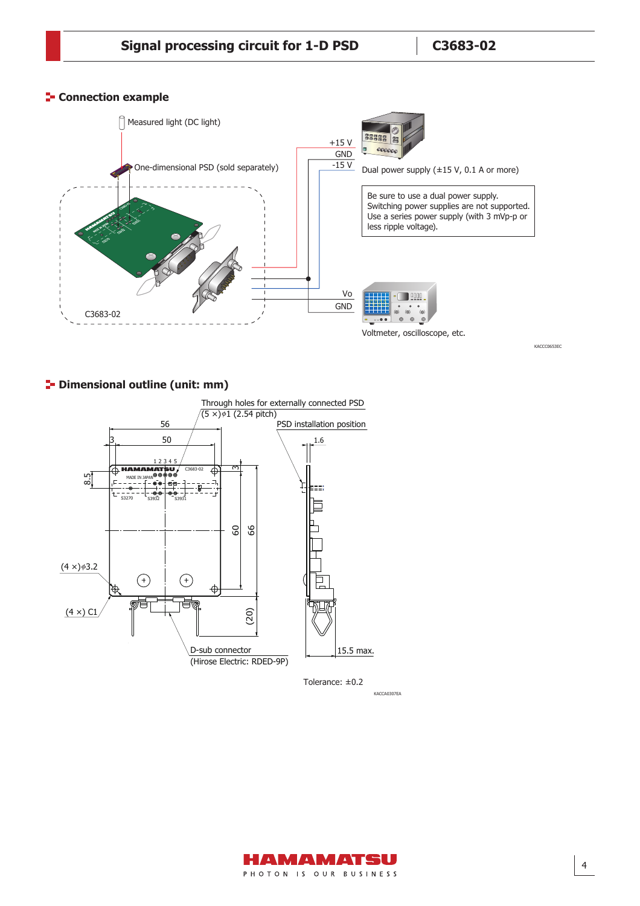#### **Connection example**



**<sup>1</sup>** Dimensional outline (unit: mm)